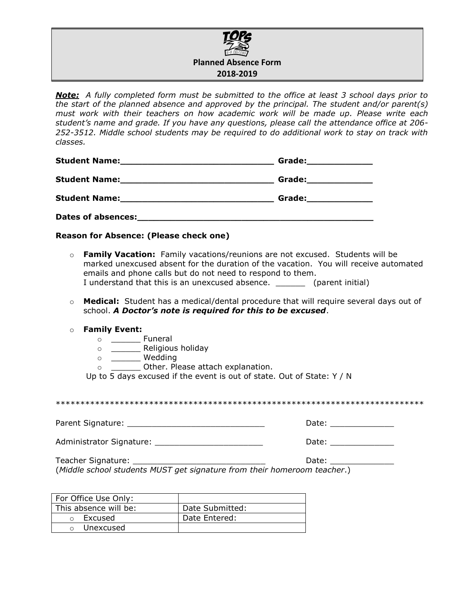

*Note: A fully completed form must be submitted to the office at least 3 school days prior to the start of the planned absence and approved by the principal. The student and/or parent(s) must work with their teachers on how academic work will be made up. Please write each student's name and grade. If you have any questions, please call the attendance office at 206- 252-3512. Middle school students may be required to do additional work to stay on track with classes.*

| <b>Student Name:</b>                                                                                           | Grade:_______________                                                                                                                                                                                                         |
|----------------------------------------------------------------------------------------------------------------|-------------------------------------------------------------------------------------------------------------------------------------------------------------------------------------------------------------------------------|
|                                                                                                                | Grade: will be a series of the series of the series of the series of the series of the series of the series of                                                                                                                |
| Student Name: Mannel Manual Manual Manual Manual Manual Manual Manual Manual Manual Manual Manual Manual Manua | Grade: when the control of the control of the control of the control of the control of the control of the control of the control of the control of the control of the control of the control of the control of the control of |
| <b>Dates of absences:</b>                                                                                      |                                                                                                                                                                                                                               |

**Reason for Absence: (Please check one)**

| $\circ$ Family Vacation: Family vacations/reunions are not excused. Students will be |  |  |
|--------------------------------------------------------------------------------------|--|--|
| marked unexcused absent for the duration of the vacation. You will receive automated |  |  |
| emails and phone calls but do not need to respond to them.                           |  |  |
| I understand that this is an unexcused absence.<br>(parent initial)                  |  |  |

- o **Medical:** Student has a medical/dental procedure that will require several days out of school. *A Doctor's note is required for this to be excused*.
- o **Family Event:** 
	- o **\_\_\_\_\_\_** Funeral
	- o \_\_\_\_\_\_ Religious holiday
	- o \_\_\_\_\_\_ Wedding
	- o \_\_\_\_\_\_\_\_\_ Other. Please attach explanation.

Up to 5 days excused if the event is out of state. Out of State: Y / N

\*\*\*\*\*\*\*\*\*\*\*\*\*\*\*\*\*\*\*\*\*\*\*\*\*\*\*\*\*\*\*\*\*\*\*\*\*\*\*\*\*\*\*\*\*\*\*\*\*\*\*\*\*\*\*\*\*\*\*\*\*\*\*\*\*\*\*\*\*\*\*\*\*\*\*

Parent Signature: \_\_\_\_\_\_\_\_\_\_\_\_\_\_\_\_\_\_\_\_\_\_\_\_\_\_\_\_ Date: \_\_\_\_\_\_\_\_\_\_\_\_\_

Administrator Signature: \_\_\_\_\_\_\_\_\_\_\_\_\_\_\_\_\_\_\_\_\_\_\_\_\_\_\_\_\_\_\_\_\_\_\_ Date: \_\_\_\_\_\_\_\_\_\_\_\_\_

Teacher Signature: \_\_\_\_\_\_\_\_\_\_\_\_\_\_\_\_\_\_\_\_\_\_\_\_\_\_\_ Date: \_\_\_\_\_\_\_\_\_\_\_\_\_ (*Middle school students MUST get signature from their homeroom teacher*.)

| For Office Use Only:  |                 |
|-----------------------|-----------------|
| This absence will be: | Date Submitted: |
| Excused               | Date Entered:   |
| Unexcused             |                 |